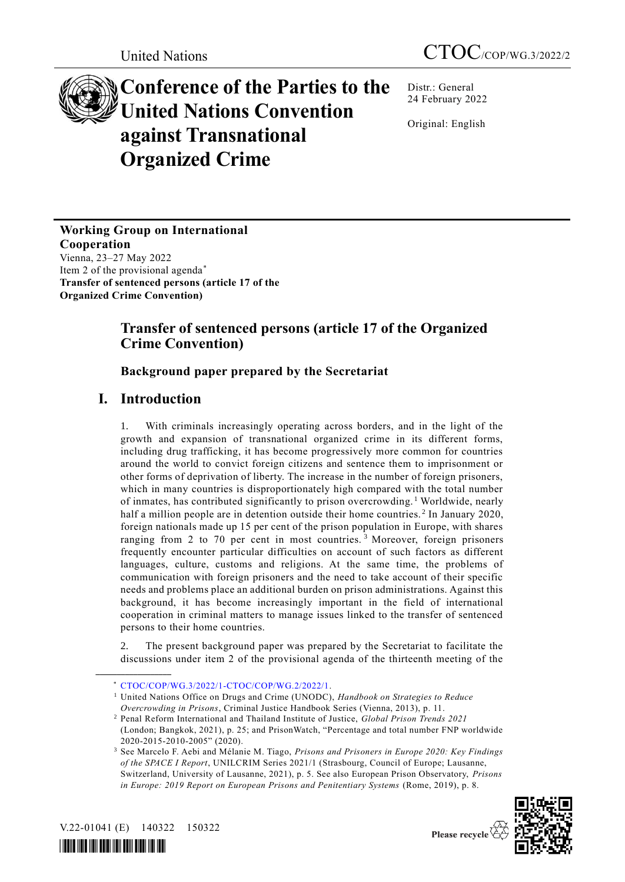# **Conference of the Parties to the United Nations Convention against Transnational Organized Crime**

Distr.: General 24 February 2022

Original: English

**Working Group on International Cooperation** Vienna, 23–27 May 2022 Item 2 of the provisional agenda\* **Transfer of sentenced persons (article 17 of the** 

**Organized Crime Convention)**

# **Transfer of sentenced persons (article 17 of the Organized Crime Convention)**

# **Background paper prepared by the Secretariat**

# **I. Introduction**

1. With criminals increasingly operating across borders, and in the light of the growth and expansion of transnational organized crime in its different forms, including drug trafficking, it has become progressively more common for countries around the world to convict foreign citizens and sentence them to imprisonment or other forms of deprivation of liberty. The increase in the number of foreign prisoners, which in many countries is disproportionately high compared with the total number of inmates, has contributed significantly to prison overcrowding. <sup>1</sup> Worldwide, nearly half a million people are in detention outside their home countries.<sup>2</sup> In January 2020, foreign nationals made up 15 per cent of the prison population in Europe, with shares ranging from 2 to 70 per cent in most countries.<sup>3</sup> Moreover, foreign prisoners frequently encounter particular difficulties on account of such factors as different languages, culture, customs and religions. At the same time, the problems of communication with foreign prisoners and the need to take account of their specific needs and problems place an additional burden on prison administrations. Against this background, it has become increasingly important in the field of international cooperation in criminal matters to manage issues linked to the transfer of sentenced persons to their home countries.

The present background paper was prepared by the Secretariat to facilitate the discussions under item 2 of the provisional agenda of the thirteenth meeting of the

<sup>3</sup> See Marcelo F. Aebi and Mélanie M. Tiago, *Prisons and Prisoners in Europe 2020: Key Findings of the SPACE I Report*, UNILCRIM Series 2021/1 (Strasbourg, Council of Europe; Lausanne, Switzerland, University of Lausanne, 2021), p. 5. See also European Prison Observatory, *Prisons in Europe: 2019 Report on European Prisons and Penitentiary Systems* (Rome, 2019), p. 8.



Please recycle

V.22-01041 (E) 140322 150322

**\_\_\_\_\_\_\_\_\_\_\_\_\_\_\_\_\_\_**

*\*2201041\**

<sup>\*</sup> [CTOC/COP/WG.3/2022/1-CTOC/COP/WG.2/2022/1.](http://undocs.org/CTOC/COP/WG.3/2022/1)

<sup>1</sup> United Nations Office on Drugs and Crime (UNODC), *Handbook on Strategies to Reduce Overcrowding in Prisons*, Criminal Justice Handbook Series (Vienna, 2013), p. 11.

<sup>2</sup> Penal Reform International and Thailand Institute of Justice, *Global Prison Trends 2021* (London; Bangkok, 2021), p. 25; and PrisonWatch, "Percentage and total number FNP worldwide 2020-2015-2010-2005" (2020).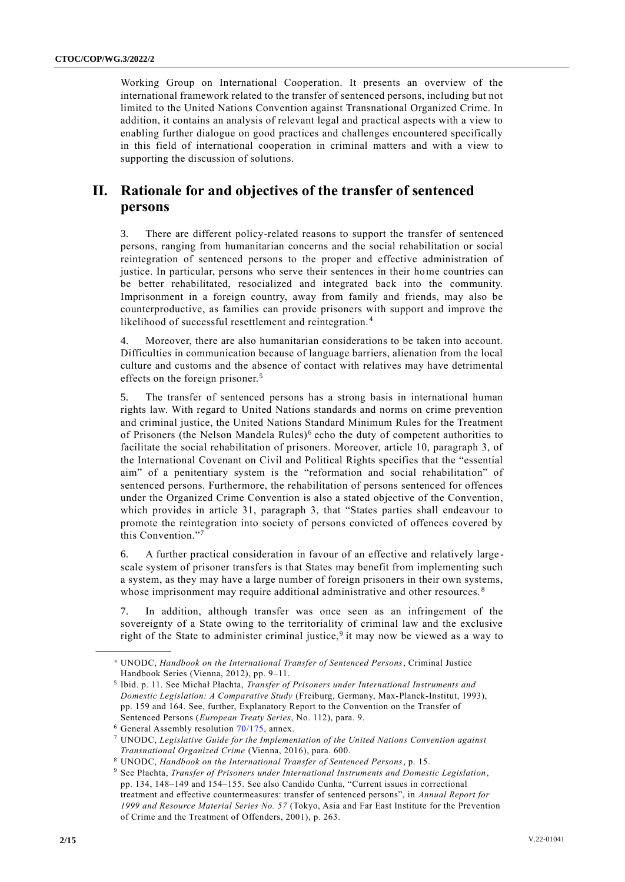Working Group on International Cooperation. It presents an overview of the international framework related to the transfer of sentenced persons, including but not limited to the United Nations Convention against Transnational Organized Crime. In addition, it contains an analysis of relevant legal and practical aspects with a view to enabling further dialogue on good practices and challenges encountered specifically in this field of international cooperation in criminal matters and with a view to supporting the discussion of solutions.

# **II. Rationale for and objectives of the transfer of sentenced persons**

3. There are different policy-related reasons to support the transfer of sentenced persons, ranging from humanitarian concerns and the social rehabilitation or social reintegration of sentenced persons to the proper and effective administration of justice. In particular, persons who serve their sentences in their home countries can be better rehabilitated, resocialized and integrated back into the community. Imprisonment in a foreign country, away from family and friends, may also be counterproductive, as families can provide prisoners with support and improve the likelihood of successful resettlement and reintegration. <sup>4</sup>

Moreover, there are also humanitarian considerations to be taken into account. Difficulties in communication because of language barriers, alienation from the local culture and customs and the absence of contact with relatives may have detrimental effects on the foreign prisoner.<sup>5</sup>

5. The transfer of sentenced persons has a strong basis in international human rights law. With regard to United Nations standards and norms on crime prevention and criminal justice, the United Nations Standard Minimum Rules for the Treatment of Prisoners (the Nelson Mandela Rules)<sup>6</sup> echo the duty of competent authorities to facilitate the social rehabilitation of prisoners. Moreover, article 10, paragraph 3, of the International Covenant on Civil and Political Rights specifies that the "essential aim" of a penitentiary system is the "reformation and social rehabilitation" of sentenced persons. Furthermore, the rehabilitation of persons sentenced for offences under the Organized Crime Convention is also a stated objective of the Convention, which provides in article 31, paragraph 3, that "States parties shall endeavour to promote the reintegration into society of persons convicted of offences covered by this Convention."<sup>7</sup>

6. A further practical consideration in favour of an effective and relatively large scale system of prisoner transfers is that States may benefit from implementing such a system, as they may have a large number of foreign prisoners in their own systems, whose imprisonment may require additional administrative and other resources.<sup>8</sup>

In addition, although transfer was once seen as an infringement of the sovereignty of a State owing to the territoriality of criminal law and the exclusive right of the State to administer criminal justice,<sup>9</sup> it may now be viewed as a way to

<sup>4</sup> UNODC, *Handbook on the International Transfer of Sentenced Persons*, Criminal Justice Handbook Series (Vienna, 2012), pp. 9–11.

<sup>5</sup> Ibid. p. 11. See Michał Płachta, *Transfer of Prisoners under International Instruments and Domestic Legislation: A Comparative Study* (Freiburg, Germany, Max-Planck-Institut, 1993), pp. 159 and 164. See, further, Explanatory Report to the Convention on the Transfer of Sentenced Persons (*European Treaty Series*, No. 112), para. 9.

 $6$  General Assembly resolution  $70/175$ , annex.

<sup>7</sup> UNODC, *Legislative Guide for the Implementation of the United Nations Convention against Transnational Organized Crime* (Vienna, 2016), para. 600.

<sup>8</sup> UNODC, *Handbook on the International Transfer of Sentenced Persons*, p. 15.

<sup>9</sup> See Płachta, *Transfer of Prisoners under International Instruments and Domestic Legislation*, pp. 134, 148–149 and 154–155. See also Candido Cunha, "Current issues in correctional treatment and effective countermeasures: transfer of sentenced persons", in *Annual Report for 1999 and Resource Material Series No. 57* (Tokyo, Asia and Far East Institute for the Prevention of Crime and the Treatment of Offenders, 2001), p. 263.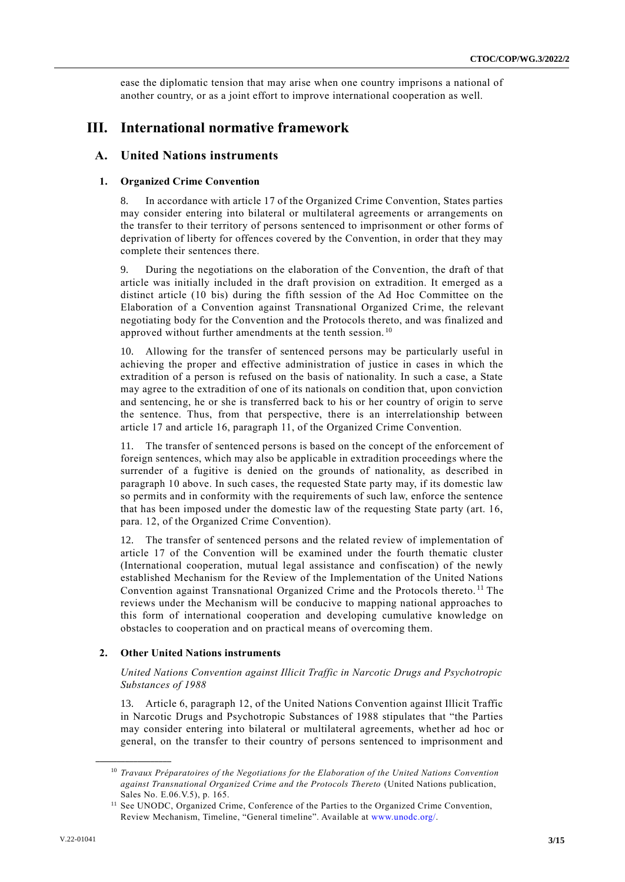ease the diplomatic tension that may arise when one country imprisons a national of another country, or as a joint effort to improve international cooperation as well.

# **III. International normative framework**

## **A. United Nations instruments**

#### **1. Organized Crime Convention**

8. In accordance with article 17 of the Organized Crime Convention, States parties may consider entering into bilateral or multilateral agreements or arrangements on the transfer to their territory of persons sentenced to imprisonment or other forms of deprivation of liberty for offences covered by the Convention, in order that they may complete their sentences there.

During the negotiations on the elaboration of the Convention, the draft of that article was initially included in the draft provision on extradition. It emerged as a distinct article (10 bis) during the fifth session of the Ad Hoc Committee on the Elaboration of a Convention against Transnational Organized Crime, the relevant negotiating body for the Convention and the Protocols thereto, and was finalized and approved without further amendments at the tenth session.<sup>10</sup>

10. Allowing for the transfer of sentenced persons may be particularly useful in achieving the proper and effective administration of justice in cases in which the extradition of a person is refused on the basis of nationality. In such a case, a State may agree to the extradition of one of its nationals on condition that, upon conviction and sentencing, he or she is transferred back to his or her country of origin to serve the sentence. Thus, from that perspective, there is an interrelationship between article 17 and article 16, paragraph 11, of the Organized Crime Convention.

11. The transfer of sentenced persons is based on the concept of the enforcement of foreign sentences, which may also be applicable in extradition proceedings where the surrender of a fugitive is denied on the grounds of nationality, as described in paragraph 10 above. In such cases, the requested State party may, if its domestic law so permits and in conformity with the requirements of such law, enforce the sentence that has been imposed under the domestic law of the requesting State party (art. 16, para. 12, of the Organized Crime Convention).

12. The transfer of sentenced persons and the related review of implementation of article 17 of the Convention will be examined under the fourth thematic cluster (International cooperation, mutual legal assistance and confiscation) of the newly established Mechanism for the Review of the Implementation of the United Nations Convention against Transnational Organized Crime and the Protocols thereto. <sup>11</sup> The reviews under the Mechanism will be conducive to mapping national approaches to this form of international cooperation and developing cumulative knowledge on obstacles to cooperation and on practical means of overcoming them.

## **2. Other United Nations instruments**

*United Nations Convention against Illicit Traffic in Narcotic Drugs and Psychotropic Substances of 1988* 

13. Article 6, paragraph 12, of the United Nations Convention against Illicit Traffic in Narcotic Drugs and Psychotropic Substances of 1988 stipulates that "the Parties may consider entering into bilateral or multilateral agreements, whether ad hoc or general, on the transfer to their country of persons sentenced to imprisonment and

<sup>10</sup> *Travaux Préparatoires of the Negotiations for the Elaboration of the United Nations Convention against Transnational Organized Crime and the Protocols Thereto* (United Nations publication, Sales No. E.06.V.5), p. 165.

<sup>&</sup>lt;sup>11</sup> See UNODC, Organized Crime, Conference of the Parties to the Organized Crime Convention, Review Mechanism, Timeline, "General timeline". Available at [www.unodc.org/.](http://www.unodc.org/)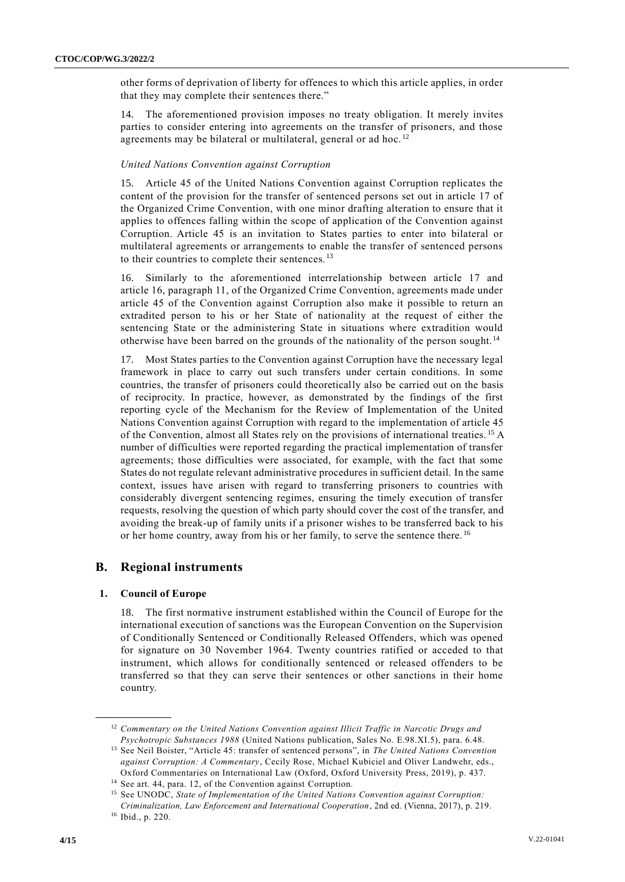other forms of deprivation of liberty for offences to which this article applies, in order that they may complete their sentences there."

14. The aforementioned provision imposes no treaty obligation. It merely invites parties to consider entering into agreements on the transfer of prisoners, and those agreements may be bilateral or multilateral, general or ad hoc.<sup>12</sup>

#### *United Nations Convention against Corruption*

15. Article 45 of the United Nations Convention against Corruption replicates the content of the provision for the transfer of sentenced persons set out in article 17 of the Organized Crime Convention, with one minor drafting alteration to ensure that it applies to offences falling within the scope of application of the Convention against Corruption. Article 45 is an invitation to States parties to enter into bilateral or multilateral agreements or arrangements to enable the transfer of sentenced persons to their countries to complete their sentences.<sup>13</sup>

16. Similarly to the aforementioned interrelationship between article 17 and article 16, paragraph 11, of the Organized Crime Convention, agreements made under article 45 of the Convention against Corruption also make it possible to return an extradited person to his or her State of nationality at the request of either the sentencing State or the administering State in situations where extradition would otherwise have been barred on the grounds of the nationality of the person sought.<sup>14</sup>

17. Most States parties to the Convention against Corruption have the necessary legal framework in place to carry out such transfers under certain conditions. In some countries, the transfer of prisoners could theoretically also be carried out on the basis of reciprocity. In practice, however, as demonstrated by the findings of the first reporting cycle of the Mechanism for the Review of Implementation of the United Nations Convention against Corruption with regard to the implementation of article 45 of the Convention, almost all States rely on the provisions of international treaties. <sup>15</sup> A number of difficulties were reported regarding the practical implementation of transfer agreements; those difficulties were associated, for example, with the fact that some States do not regulate relevant administrative procedures in sufficient detail. In the same context, issues have arisen with regard to transferring prisoners to countries with considerably divergent sentencing regimes, ensuring the timely execution of transfer requests, resolving the question of which party should cover the cost of the transfer, and avoiding the break-up of family units if a prisoner wishes to be transferred back to his or her home country, away from his or her family, to serve the sentence there. <sup>16</sup>

## **B. Regional instruments**

#### **1. Council of Europe**

**\_\_\_\_\_\_\_\_\_\_\_\_\_\_\_\_\_\_**

18. The first normative instrument established within the Council of Europe for the international execution of sanctions was the European Convention on the Supervision of Conditionally Sentenced or Conditionally Released Offenders, which was opened for signature on 30 November 1964. Twenty countries ratified or acceded to that instrument, which allows for conditionally sentenced or released offenders to be transferred so that they can serve their sentences or other sanctions in their home country.

<sup>12</sup> *Commentary on the United Nations Convention against Illicit Traffic in Narcotic Drugs and Psychotropic Substances 1988* (United Nations publication, Sales No. E.98.XI.5), para. 6.48.

<sup>13</sup> See Neil Boister, "Article 45: transfer of sentenced persons", in *The United Nations Convention against Corruption: A Commentary*, Cecily Rose, Michael Kubiciel and Oliver Landwehr, eds., Oxford Commentaries on International Law (Oxford, Oxford University Press, 2019), p. 437.

<sup>14</sup> See art. 44, para. 12, of the Convention against Corruption.

<sup>15</sup> See UNODC, *State of Implementation of the United Nations Convention against Corruption: Criminalization, Law Enforcement and International Cooperation*, 2nd ed. (Vienna, 2017), p. 219. <sup>16</sup> Ibid., p. 220.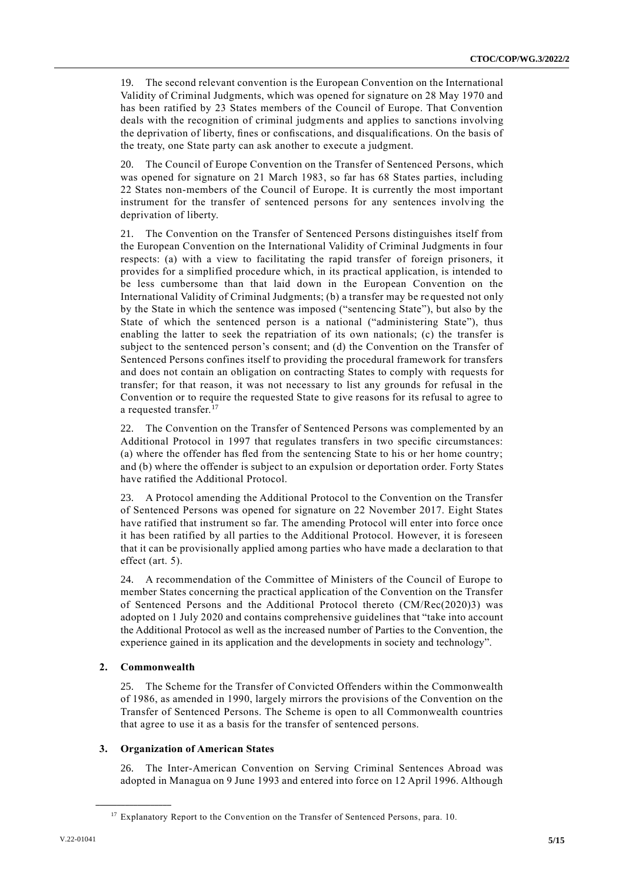19. The second relevant convention is the European Convention on the International Validity of Criminal Judgments, which was opened for signature on 28 May 1970 and has been ratified by 23 States members of the Council of Europe. That Convention deals with the recognition of criminal judgments and applies to sanctions involving the deprivation of liberty, fines or confiscations, and disqualifications. On the basis of the treaty, one State party can ask another to execute a judgment.

The Council of Europe Convention on the Transfer of Sentenced Persons, which was opened for signature on 21 March 1983, so far has 68 States parties, including 22 States non-members of the Council of Europe. It is currently the most important instrument for the transfer of sentenced persons for any sentences involving the deprivation of liberty.

21. The Convention on the Transfer of Sentenced Persons distinguishes itself from the European Convention on the International Validity of Criminal Judgments in four respects: (a) with a view to facilitating the rapid transfer of foreign prisoners, it provides for a simplified procedure which, in its practical application, is intended to be less cumbersome than that laid down in the European Convention on the International Validity of Criminal Judgments; (b) a transfer may be requested not only by the State in which the sentence was imposed ("sentencing State"), but also by the State of which the sentenced person is a national ("administering State"), thus enabling the latter to seek the repatriation of its own nationals; (c) the transfer is subject to the sentenced person's consent; and (d) the Convention on the Transfer of Sentenced Persons confines itself to providing the procedural framework for transfers and does not contain an obligation on contracting States to comply with requests for transfer; for that reason, it was not necessary to list any grounds for refusal in the Convention or to require the requested State to give reasons for its refusal to agree to a requested transfer.<sup>17</sup>

22. The Convention on the Transfer of Sentenced Persons was complemented by an Additional Protocol in 1997 that regulates transfers in two specific circumstances: (a) where the offender has fled from the sentencing State to his or her home country; and (b) where the offender is subject to an expulsion or deportation order. Forty States have ratified the Additional Protocol.

23. A Protocol amending the Additional Protocol to the Convention on the Transfer of Sentenced Persons was opened for signature on 22 November 2017. Eight States have ratified that instrument so far. The amending Protocol will enter into force once it has been ratified by all parties to the Additional Protocol. However, it is foreseen that it can be provisionally applied among parties who have made a declaration to that effect (art. 5).

24. A recommendation of the Committee of Ministers of the Council of Europe to member States concerning the practical application of the Convention on the Transfer of Sentenced Persons and the Additional Protocol thereto (CM/Rec(2020)3) was adopted on 1 July 2020 and contains comprehensive guidelines that "take into account the Additional Protocol as well as the increased number of Parties to the Convention, the experience gained in its application and the developments in society and technology".

#### **2. Commonwealth**

**\_\_\_\_\_\_\_\_\_\_\_\_\_\_\_\_\_\_**

25. The Scheme for the Transfer of Convicted Offenders within the Commonwealth of 1986, as amended in 1990, largely mirrors the provisions of the Convention on the Transfer of Sentenced Persons. The Scheme is open to all Commonwealth countries that agree to use it as a basis for the transfer of sentenced persons.

#### **3. Organization of American States**

26. The Inter-American Convention on Serving Criminal Sentences Abroad was adopted in Managua on 9 June 1993 and entered into force on 12 April 1996. Although

<sup>&</sup>lt;sup>17</sup> Explanatory Report to the Convention on the Transfer of Sentenced Persons, para. 10.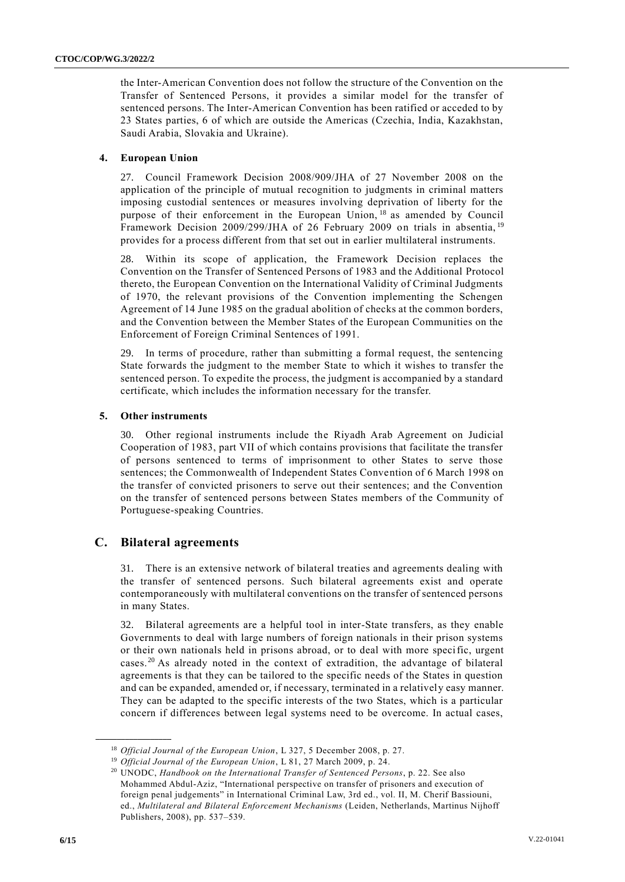the Inter-American Convention does not follow the structure of the Convention on the Transfer of Sentenced Persons, it provides a similar model for the transfer of sentenced persons. The Inter-American Convention has been ratified or acceded to by 23 States parties, 6 of which are outside the Americas (Czechia, India, Kazakhstan, Saudi Arabia, Slovakia and Ukraine).

#### **4. European Union**

27. Council Framework Decision 2008/909/JHA of 27 November 2008 on the application of the principle of mutual recognition to judgments in criminal matters imposing custodial sentences or measures involving deprivation of liberty for the purpose of their enforcement in the European Union, <sup>18</sup> as amended by Council Framework Decision 2009/299/JHA of 26 February 2009 on trials in absentia, <sup>19</sup> provides for a process different from that set out in earlier multilateral instruments.

28. Within its scope of application, the Framework Decision replaces the Convention on the Transfer of Sentenced Persons of 1983 and the Additional Protocol thereto, the European Convention on the International Validity of Criminal Judgments of 1970, the relevant provisions of the Convention implementing the Schengen Agreement of 14 June 1985 on the gradual abolition of checks at the common borders, and the Convention between the Member States of the European Communities on the Enforcement of Foreign Criminal Sentences of 1991.

29. In terms of procedure, rather than submitting a formal request, the sentencing State forwards the judgment to the member State to which it wishes to transfer the sentenced person. To expedite the process, the judgment is accompanied by a standard certificate, which includes the information necessary for the transfer.

#### **5. Other instruments**

30. Other regional instruments include the Riyadh Arab Agreement on Judicial Cooperation of 1983, part VII of which contains provisions that facilitate the transfer of persons sentenced to terms of imprisonment to other States to serve those sentences; the Commonwealth of Independent States Convention of 6 March 1998 on the transfer of convicted prisoners to serve out their sentences; and the Convention on the transfer of sentenced persons between States members of the Community of Portuguese-speaking Countries.

## **C. Bilateral agreements**

**\_\_\_\_\_\_\_\_\_\_\_\_\_\_\_\_\_\_**

31. There is an extensive network of bilateral treaties and agreements dealing with the transfer of sentenced persons. Such bilateral agreements exist and operate contemporaneously with multilateral conventions on the transfer of sentenced persons in many States.

32. Bilateral agreements are a helpful tool in inter-State transfers, as they enable Governments to deal with large numbers of foreign nationals in their prison systems or their own nationals held in prisons abroad, or to deal with more specific, urgent cases.<sup>20</sup> As already noted in the context of extradition, the advantage of bilateral agreements is that they can be tailored to the specific needs of the States in question and can be expanded, amended or, if necessary, terminated in a relatively easy manner. They can be adapted to the specific interests of the two States, which is a particular concern if differences between legal systems need to be overcome. In actual cases,

<sup>18</sup> *Official Journal of the European Union*, L 327, 5 December 2008, p. 27.

<sup>19</sup> *Official Journal of the European Union*, L 81, 27 March 2009, p. 24.

<sup>20</sup> UNODC, *Handbook on the International Transfer of Sentenced Persons*, p. 22. See also Mohammed Abdul-Aziz, "International perspective on transfer of prisoners and execution of foreign penal judgements" in International Criminal Law, 3rd ed., vol. II, M. Cherif Bassiouni, ed., *Multilateral and Bilateral Enforcement Mechanisms* (Leiden, Netherlands, Martinus Nijhoff Publishers, 2008), pp. 537–539.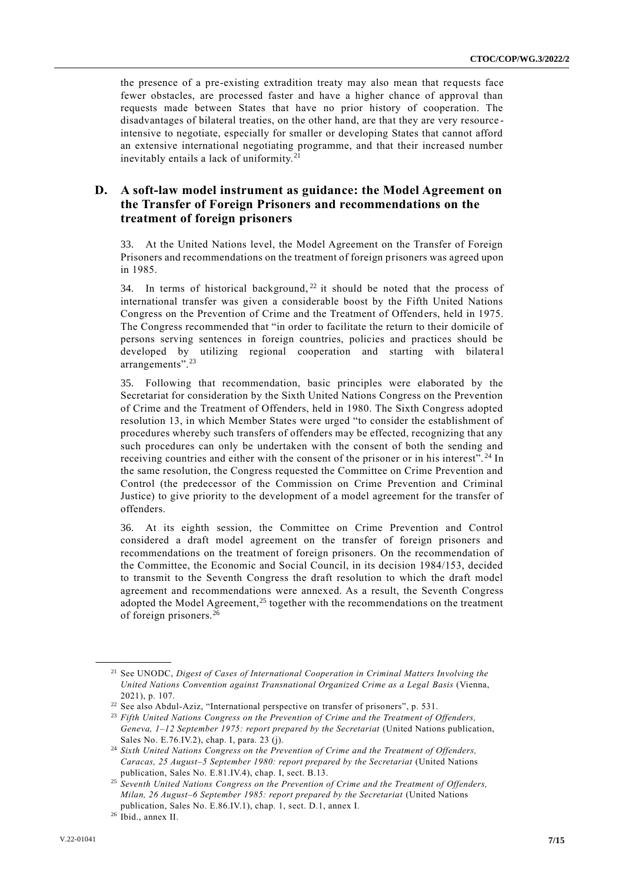the presence of a pre-existing extradition treaty may also mean that requests face fewer obstacles, are processed faster and have a higher chance of approval than requests made between States that have no prior history of cooperation. The disadvantages of bilateral treaties, on the other hand, are that they are very resource intensive to negotiate, especially for smaller or developing States that cannot afford an extensive international negotiating programme, and that their increased number inevitably entails a lack of uniformity. <sup>21</sup>

## **D. A soft-law model instrument as guidance: the Model Agreement on the Transfer of Foreign Prisoners and recommendations on the treatment of foreign prisoners**

33. At the United Nations level, the Model Agreement on the Transfer of Foreign Prisoners and recommendations on the treatment of foreign prisoners was agreed upon in 1985.

34. In terms of historical background,  $22$  it should be noted that the process of international transfer was given a considerable boost by the Fifth United Nations Congress on the Prevention of Crime and the Treatment of Offenders, held in 1975. The Congress recommended that "in order to facilitate the return to their domicile of persons serving sentences in foreign countries, policies and practices should be developed by utilizing regional cooperation and starting with bilateral arrangements".<sup>23</sup>

35. Following that recommendation, basic principles were elaborated by the Secretariat for consideration by the Sixth United Nations Congress on the Prevention of Crime and the Treatment of Offenders, held in 1980. The Sixth Congress adopted resolution 13, in which Member States were urged "to consider the establishment of procedures whereby such transfers of offenders may be effected, recognizing that any such procedures can only be undertaken with the consent of both the sending and receiving countries and either with the consent of the prisoner or in his interest". <sup>24</sup> In the same resolution, the Congress requested the Committee on Crime Prevention and Control (the predecessor of the Commission on Crime Prevention and Criminal Justice) to give priority to the development of a model agreement for the transfer of offenders.

36. At its eighth session, the Committee on Crime Prevention and Control considered a draft model agreement on the transfer of foreign prisoners and recommendations on the treatment of foreign prisoners. On the recommendation of the Committee, the Economic and Social Council, in its decision 1984/153, decided to transmit to the Seventh Congress the draft resolution to which the draft model agreement and recommendations were annexed. As a result, the Seventh Congress adopted the Model Agreement,<sup>25</sup> together with the recommendations on the treatment of foreign prisoners.<sup>26</sup>

<sup>21</sup> See UNODC, *Digest of Cases of International Cooperation in Criminal Matters Involving the United Nations Convention against Transnational Organized Crime as a Legal Basis* (Vienna, 2021), p. 107.

<sup>22</sup> See also Abdul-Aziz, "International perspective on transfer of prisoners", p. 531.

<sup>23</sup> *Fifth United Nations Congress on the Prevention of Crime and the Treatment of Offenders, Geneva, 1–12 September 1975: report prepared by the Secretariat* (United Nations publication, Sales No. E.76.IV.2), chap. I, para. 23 (j).

<sup>&</sup>lt;sup>24</sup> Sixth United Nations Congress on the Prevention of Crime and the Treatment of Offenders, Caracas, 25 August-5 September 1980: report prepared by the Secretariat (United Nations publication, Sales No. E.81.IV.4), chap. I, sect. B.13.

<sup>25</sup> *Seventh United Nations Congress on the Prevention of Crime and the Treatment of Offenders, Milan, 26 August–6 September 1985: report prepared by the Secretariat* (United Nations publication, Sales No. E.86.IV.1), chap. 1, sect. D.1, annex I.

<sup>26</sup> Ibid., annex II.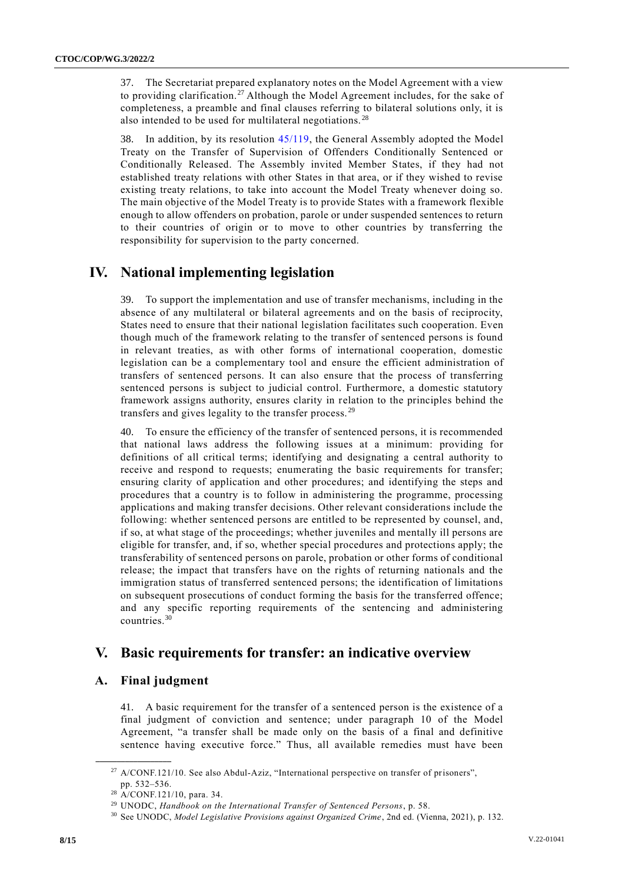37. The Secretariat prepared explanatory notes on the Model Agreement with a view to providing clarification.<sup>27</sup> Although the Model Agreement includes, for the sake of completeness, a preamble and final clauses referring to bilateral solutions only, it is also intended to be used for multilateral negotiations. <sup>28</sup>

38. In addition, by its resolution [45/119,](http://undocs.org/A/RES/45/119) the General Assembly adopted the Model Treaty on the Transfer of Supervision of Offenders Conditionally Sentenced or Conditionally Released. The Assembly invited Member States, if they had not established treaty relations with other States in that area, or if they wished to revise existing treaty relations, to take into account the Model Treaty whenever doing so. The main objective of the Model Treaty is to provide States with a framework flexible enough to allow offenders on probation, parole or under suspended sentences to return to their countries of origin or to move to other countries by transferring the responsibility for supervision to the party concerned.

# **IV. National implementing legislation**

39. To support the implementation and use of transfer mechanisms, including in the absence of any multilateral or bilateral agreements and on the basis of reciprocity, States need to ensure that their national legislation facilitates such cooperation. Even though much of the framework relating to the transfer of sentenced persons is found in relevant treaties, as with other forms of international cooperation, domestic legislation can be a complementary tool and ensure the efficient administration of transfers of sentenced persons. It can also ensure that the process of transferring sentenced persons is subject to judicial control. Furthermore, a domestic statutory framework assigns authority, ensures clarity in relation to the principles behind the transfers and gives legality to the transfer process. <sup>29</sup>

40. To ensure the efficiency of the transfer of sentenced persons, it is recommended that national laws address the following issues at a minimum: providing for definitions of all critical terms; identifying and designating a central authority to receive and respond to requests; enumerating the basic requirements for transfer; ensuring clarity of application and other procedures; and identifying the steps and procedures that a country is to follow in administering the programme, processing applications and making transfer decisions. Other relevant considerations include the following: whether sentenced persons are entitled to be represented by counsel, and, if so, at what stage of the proceedings; whether juveniles and mentally ill persons are eligible for transfer, and, if so, whether special procedures and protections apply; the transferability of sentenced persons on parole, probation or other forms of conditional release; the impact that transfers have on the rights of returning nationals and the immigration status of transferred sentenced persons; the identification of limitations on subsequent prosecutions of conduct forming the basis for the transferred offence; and any specific reporting requirements of the sentencing and administering countries.<sup>30</sup>

# **V. Basic requirements for transfer: an indicative overview**

## **A. Final judgment**

**\_\_\_\_\_\_\_\_\_\_\_\_\_\_\_\_\_\_**

41. A basic requirement for the transfer of a sentenced person is the existence of a final judgment of conviction and sentence; under paragraph 10 of the Model Agreement, "a transfer shall be made only on the basis of a final and definitive sentence having executive force." Thus, all available remedies must have been

<sup>&</sup>lt;sup>27</sup> A/CONF.121/10. See also Abdul-Aziz, "International perspective on transfer of prisoners", pp. 532–536.

<sup>28</sup> A/CONF.121/10, para. 34.

<sup>29</sup> UNODC, *Handbook on the International Transfer of Sentenced Persons*, p. 58.

<sup>30</sup> See UNODC, *Model Legislative Provisions against Organized Crime*, 2nd ed. (Vienna, 2021), p. 132.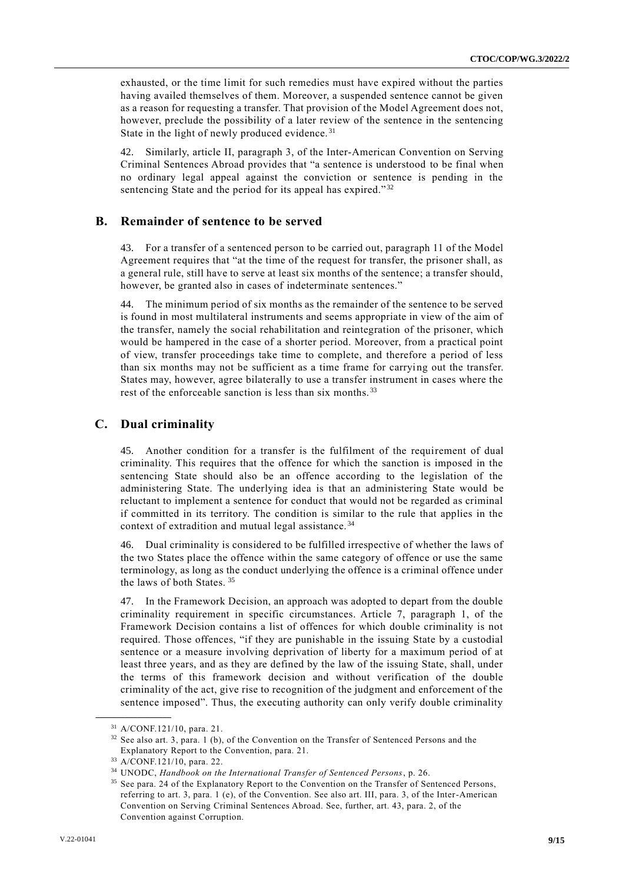exhausted, or the time limit for such remedies must have expired without the parties having availed themselves of them. Moreover, a suspended sentence cannot be given as a reason for requesting a transfer. That provision of the Model Agreement does not, however, preclude the possibility of a later review of the sentence in the sentencing State in the light of newly produced evidence.<sup>31</sup>

42. Similarly, article II, paragraph 3, of the Inter-American Convention on Serving Criminal Sentences Abroad provides that "a sentence is understood to be final when no ordinary legal appeal against the conviction or sentence is pending in the sentencing State and the period for its appeal has expired."<sup>32</sup>

#### **B. Remainder of sentence to be served**

43. For a transfer of a sentenced person to be carried out, paragraph 11 of the Model Agreement requires that "at the time of the request for transfer, the prisoner shall, as a general rule, still have to serve at least six months of the sentence; a transfer should, however, be granted also in cases of indeterminate sentences."

44. The minimum period of six months as the remainder of the sentence to be served is found in most multilateral instruments and seems appropriate in view of the aim of the transfer, namely the social rehabilitation and reintegration of the prisoner, which would be hampered in the case of a shorter period. Moreover, from a practical point of view, transfer proceedings take time to complete, and therefore a period of less than six months may not be sufficient as a time frame for carrying out the transfer. States may, however, agree bilaterally to use a transfer instrument in cases where the rest of the enforceable sanction is less than six months.<sup>33</sup>

## **C. Dual criminality**

45. Another condition for a transfer is the fulfilment of the requirement of dual criminality. This requires that the offence for which the sanction is imposed in the sentencing State should also be an offence according to the legislation of the administering State. The underlying idea is that an administering State would be reluctant to implement a sentence for conduct that would not be regarded as criminal if committed in its territory. The condition is similar to the rule that applies in the context of extradition and mutual legal assistance. <sup>34</sup>

46. Dual criminality is considered to be fulfilled irrespective of whether the laws of the two States place the offence within the same category of offence or use the same terminology, as long as the conduct underlying the offence is a criminal offence under the laws of both States. <sup>35</sup>

47. In the Framework Decision, an approach was adopted to depart from the double criminality requirement in specific circumstances. Article 7, paragraph 1, of the Framework Decision contains a list of offences for which double criminality is not required. Those offences, "if they are punishable in the issuing State by a custodial sentence or a measure involving deprivation of liberty for a maximum period of at least three years, and as they are defined by the law of the issuing State, shall, under the terms of this framework decision and without verification of the double criminality of the act, give rise to recognition of the judgment and enforcement of the sentence imposed". Thus, the executing authority can only verify double criminality

<sup>31</sup> A/CONF.121/10, para. 21.

<sup>&</sup>lt;sup>32</sup> See also art. 3, para. 1 (b), of the Convention on the Transfer of Sentenced Persons and the Explanatory Report to the Convention, para. 21.

<sup>33</sup> A/CONF.121/10, para. 22.

<sup>34</sup> UNODC, *Handbook on the International Transfer of Sentenced Persons*, p. 26.

<sup>&</sup>lt;sup>35</sup> See para. 24 of the Explanatory Report to the Convention on the Transfer of Sentenced Persons, referring to art. 3, para. 1 (e), of the Convention. See also art. III, para. 3, of the Inter-American Convention on Serving Criminal Sentences Abroad. See, further, art. 43, para. 2, of the Convention against Corruption.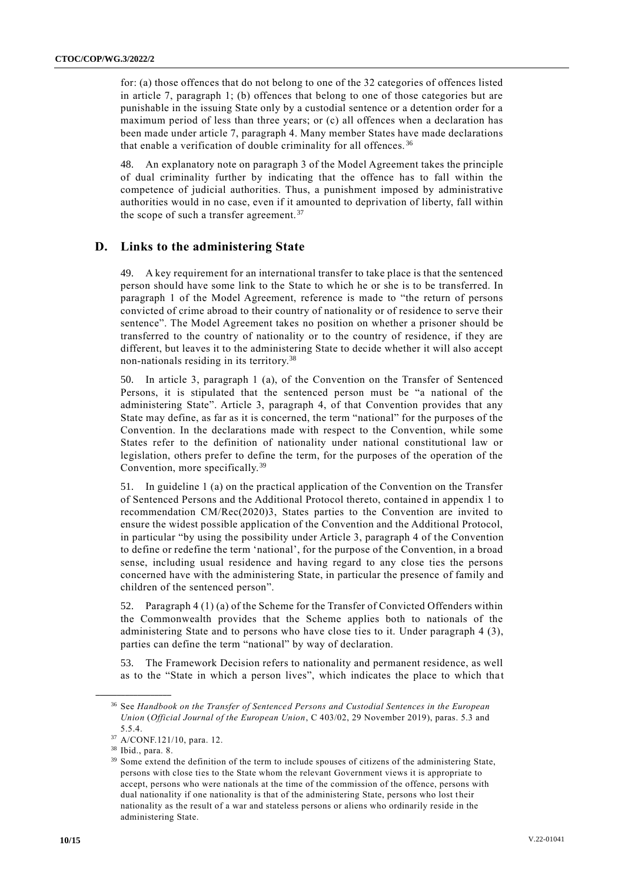for: (a) those offences that do not belong to one of the 32 categories of offences listed in article 7, paragraph 1; (b) offences that belong to one of those categories but are punishable in the issuing State only by a custodial sentence or a detention order for a maximum period of less than three years; or (c) all offences when a declaration has been made under article 7, paragraph 4. Many member States have made declarations that enable a verification of double criminality for all offences. <sup>36</sup>

48. An explanatory note on paragraph 3 of the Model Agreement takes the principle of dual criminality further by indicating that the offence has to fall within the competence of judicial authorities. Thus, a punishment imposed by administrative authorities would in no case, even if it amounted to deprivation of liberty, fall within the scope of such a transfer agreement.  $37$ 

## **D. Links to the administering State**

A key requirement for an international transfer to take place is that the sentenced person should have some link to the State to which he or she is to be transferred. In paragraph 1 of the Model Agreement, reference is made to "the return of persons convicted of crime abroad to their country of nationality or of residence to serve their sentence". The Model Agreement takes no position on whether a prisoner should be transferred to the country of nationality or to the country of residence, if they are different, but leaves it to the administering State to decide whether it will also accept non-nationals residing in its territory.<sup>38</sup>

50. In article 3, paragraph 1 (a), of the Convention on the Transfer of Sentenced Persons, it is stipulated that the sentenced person must be "a national of the administering State". Article 3, paragraph 4, of that Convention provides that any State may define, as far as it is concerned, the term "national" for the purposes of the Convention. In the declarations made with respect to the Convention, while some States refer to the definition of nationality under national constitutional law or legislation, others prefer to define the term, for the purposes of the operation of the Convention, more specifically.<sup>39</sup>

51. In guideline 1 (a) on the practical application of the Convention on the Transfer of Sentenced Persons and the Additional Protocol thereto, contained in appendix 1 to recommendation CM/Rec(2020)3, States parties to the Convention are invited to ensure the widest possible application of the Convention and the Additional Protocol, in particular "by using the possibility under Article 3, paragraph 4 of the Convention to define or redefine the term 'national', for the purpose of the Convention, in a broad sense, including usual residence and having regard to any close ties the persons concerned have with the administering State, in particular the presence of family and children of the sentenced person".

52. Paragraph 4 (1) (a) of the Scheme for the Transfer of Convicted Offenders within the Commonwealth provides that the Scheme applies both to nationals of the administering State and to persons who have close ties to it. Under paragraph 4 (3), parties can define the term "national" by way of declaration.

53. The Framework Decision refers to nationality and permanent residence, as well as to the "State in which a person lives", which indicates the place to which tha t

<sup>36</sup> See *Handbook on the Transfer of Sentenced Persons and Custodial Sentences in the European Union* (*Official Journal of the European Union*, C 403/02, 29 November 2019), paras. 5.3 and 5.5.4.

<sup>37</sup> A/CONF.121/10, para. 12.

<sup>38</sup> Ibid., para. 8.

<sup>&</sup>lt;sup>39</sup> Some extend the definition of the term to include spouses of citizens of the administering State, persons with close ties to the State whom the relevant Government views it is appropriate to accept, persons who were nationals at the time of the commission of the offence, persons with dual nationality if one nationality is that of the administering State, persons who lost their nationality as the result of a war and stateless persons or aliens who ordinarily reside in the administering State.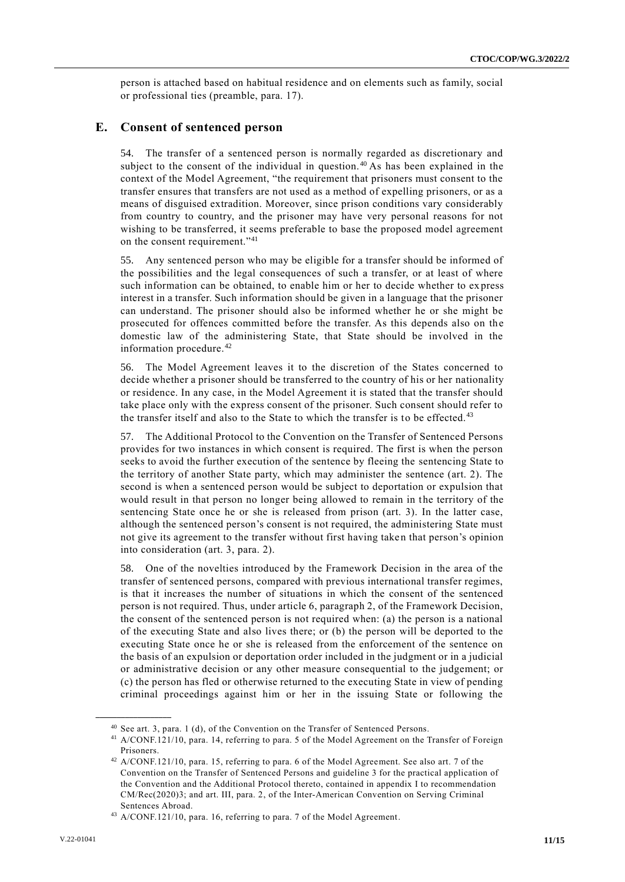person is attached based on habitual residence and on elements such as family, social or professional ties (preamble, para. 17).

## **E. Consent of sentenced person**

54. The transfer of a sentenced person is normally regarded as discretionary and subject to the consent of the individual in question.<sup>40</sup> As has been explained in the context of the Model Agreement, "the requirement that prisoners must consent to the transfer ensures that transfers are not used as a method of expelling prisoners, or as a means of disguised extradition. Moreover, since prison conditions vary considerably from country to country, and the prisoner may have very personal reasons for not wishing to be transferred, it seems preferable to base the proposed model agreement on the consent requirement."<sup>41</sup>

55. Any sentenced person who may be eligible for a transfer should be informed of the possibilities and the legal consequences of such a transfer, or at least of where such information can be obtained, to enable him or her to decide whether to ex press interest in a transfer. Such information should be given in a language that the prisoner can understand. The prisoner should also be informed whether he or she might be prosecuted for offences committed before the transfer. As this depends also on the domestic law of the administering State, that State should be involved in the information procedure.<sup>42</sup>

56. The Model Agreement leaves it to the discretion of the States concerned to decide whether a prisoner should be transferred to the country of his or her nationality or residence. In any case, in the Model Agreement it is stated that the transfer should take place only with the express consent of the prisoner. Such consent should refer to the transfer itself and also to the State to which the transfer is to be effected. $43$ 

57. The Additional Protocol to the Convention on the Transfer of Sentenced Persons provides for two instances in which consent is required. The first is when the person seeks to avoid the further execution of the sentence by fleeing the sentencing State to the territory of another State party, which may administer the sentence (art. 2). The second is when a sentenced person would be subject to deportation or expulsion that would result in that person no longer being allowed to remain in the territory of the sentencing State once he or she is released from prison (art. 3). In the latter case, although the sentenced person's consent is not required, the administering State must not give its agreement to the transfer without first having taken that person's opinion into consideration (art. 3, para. 2).

58. One of the novelties introduced by the Framework Decision in the area of the transfer of sentenced persons, compared with previous international transfer regimes, is that it increases the number of situations in which the consent of the sentenced person is not required. Thus, under article 6, paragraph 2, of the Framework Decision, the consent of the sentenced person is not required when: (a) the person is a national of the executing State and also lives there; or (b) the person will be deported to the executing State once he or she is released from the enforcement of the sentence on the basis of an expulsion or deportation order included in the judgment or in a judicial or administrative decision or any other measure consequential to the judgement; or (c) the person has fled or otherwise returned to the executing State in view of pending criminal proceedings against him or her in the issuing State or following the

<sup>40</sup> See art. 3, para. 1 (d), of the Convention on the Transfer of Sentenced Persons.

<sup>41</sup> A/CONF.121/10, para. 14, referring to para. 5 of the Model Agreement on the Transfer of Foreign Prisoners.

<sup>42</sup> A/CONF.121/10, para. 15, referring to para. 6 of the Model Agreement. See also art. 7 of the Convention on the Transfer of Sentenced Persons and guideline 3 for the practical application of the Convention and the Additional Protocol thereto, contained in appendix I to recommendation CM/Rec(2020)3; and art. III, para. 2, of the Inter-American Convention on Serving Criminal Sentences Abroad.

<sup>43</sup> A/CONF.121/10, para. 16, referring to para. 7 of the Model Agreement.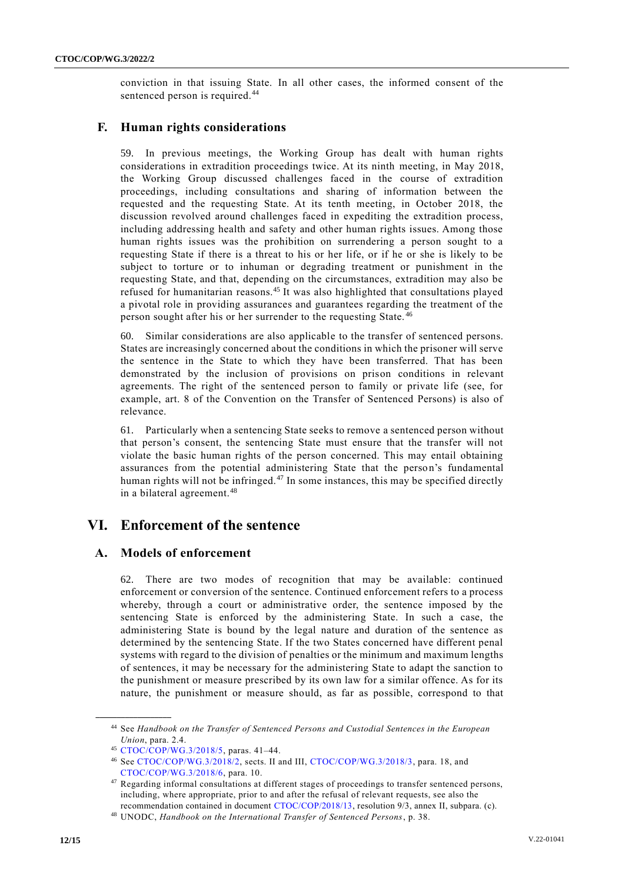conviction in that issuing State. In all other cases, the informed consent of the sentenced person is required.<sup>44</sup>

## **F. Human rights considerations**

59. In previous meetings, the Working Group has dealt with human rights considerations in extradition proceedings twice. At its ninth meeting, in May 2018, the Working Group discussed challenges faced in the course of extradition proceedings, including consultations and sharing of information between the requested and the requesting State. At its tenth meeting, in October 2018, the discussion revolved around challenges faced in expediting the extradition process, including addressing health and safety and other human rights issues. Among those human rights issues was the prohibition on surrendering a person sought to a requesting State if there is a threat to his or her life, or if he or she is likely to be subject to torture or to inhuman or degrading treatment or punishment in the requesting State, and that, depending on the circumstances, extradition may also be refused for humanitarian reasons.<sup>45</sup> It was also highlighted that consultations played a pivotal role in providing assurances and guarantees regarding the treatment of the person sought after his or her surrender to the requesting State. <sup>46</sup>

60. Similar considerations are also applicable to the transfer of sentenced persons. States are increasingly concerned about the conditions in which the prisoner will serve the sentence in the State to which they have been transferred. That has been demonstrated by the inclusion of provisions on prison conditions in relevant agreements. The right of the sentenced person to family or private life (see, for example, art. 8 of the Convention on the Transfer of Sentenced Persons) is also of relevance.

61. Particularly when a sentencing State seeks to remove a sentenced person without that person's consent, the sentencing State must ensure that the transfer will not violate the basic human rights of the person concerned. This may entail obtaining assurances from the potential administering State that the person's fundamental human rights will not be infringed.<sup>47</sup> In some instances, this may be specified directly in a bilateral agreement.<sup>48</sup>

# **VI. Enforcement of the sentence**

## **A. Models of enforcement**

62. There are two modes of recognition that may be available: continued enforcement or conversion of the sentence. Continued enforcement refers to a process whereby, through a court or administrative order, the sentence imposed by the sentencing State is enforced by the administering State. In such a case, the administering State is bound by the legal nature and duration of the sentence as determined by the sentencing State. If the two States concerned have different penal systems with regard to the division of penalties or the minimum and maximum lengths of sentences, it may be necessary for the administering State to adapt the sanction to the punishment or measure prescribed by its own law for a similar offence. As for its nature, the punishment or measure should, as far as possible, correspond to that

<sup>44</sup> See *Handbook on the Transfer of Sentenced Persons and Custodial Sentences in the European Union*, para. 2.4.

<sup>45</sup> [CTOC/COP/WG.3/2018/5,](http://undocs.org/CTOC/COP/WG.3/2018/5) paras. 41–44.

<sup>46</sup> See [CTOC/COP/WG.3/2018/2,](https://undocs.org/en/CTOC/COP/WG.3/2018/2) sects. II and III, [CTOC/COP/WG.3/2018/3,](https://undocs.org/en/CTOC/COP/WG.3/2018/3) para. 18, and [CTOC/COP/WG.3/2018/6,](https://undocs.org/en/CTOC/COP/WG.3/2018/6) para. 10.

 $^{47}$  Regarding informal consultations at different stages of proceedings to transfer sentenced persons, including, where appropriate, prior to and after the refusal of relevant requests, see also the recommendation contained in document [CTOC/COP/2018/13,](http://undocs.org/CTOC/COP/2018/13) resolution 9/3, annex II, subpara. (c).

<sup>48</sup> UNODC, *Handbook on the International Transfer of Sentenced Persons*, p. 38.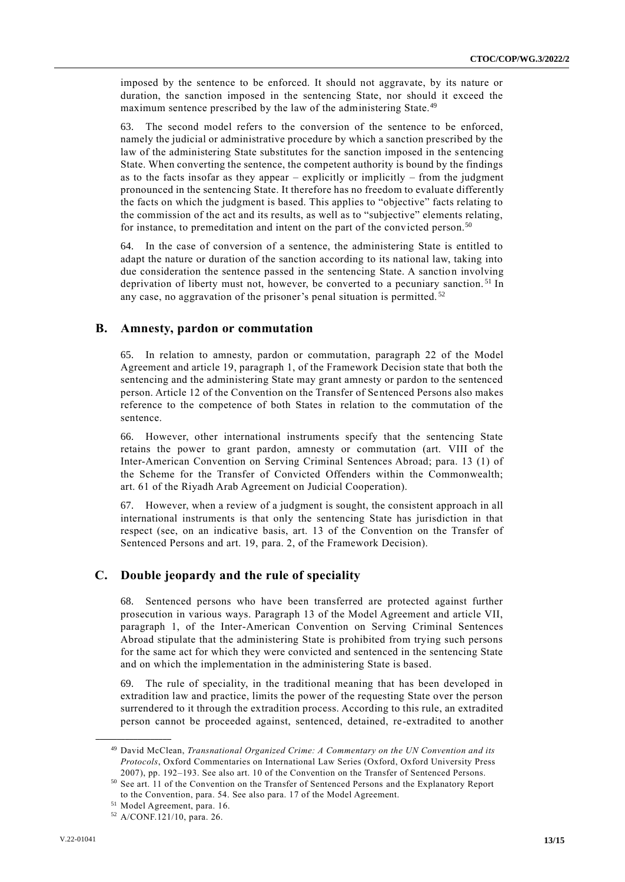imposed by the sentence to be enforced. It should not aggravate, by its nature or duration, the sanction imposed in the sentencing State, nor should it exceed the maximum sentence prescribed by the law of the administering State.<sup>49</sup>

63. The second model refers to the conversion of the sentence to be enforced, namely the judicial or administrative procedure by which a sanction prescribed by the law of the administering State substitutes for the sanction imposed in the sentencing State. When converting the sentence, the competent authority is bound by the findings as to the facts insofar as they appear – explicitly or implicitly – from the judgment pronounced in the sentencing State. It therefore has no freedom to evaluat e differently the facts on which the judgment is based. This applies to "objective" facts relating to the commission of the act and its results, as well as to "subjective" elements relating, for instance, to premeditation and intent on the part of the convicted person.<sup>50</sup>

64. In the case of conversion of a sentence, the administering State is entitled to adapt the nature or duration of the sanction according to its national law, taking into due consideration the sentence passed in the sentencing State. A sanction involving deprivation of liberty must not, however, be converted to a pecuniary sanction.<sup>51</sup> In any case, no aggravation of the prisoner's penal situation is permitted. <sup>52</sup>

#### **B. Amnesty, pardon or commutation**

65. In relation to amnesty, pardon or commutation, paragraph 22 of the Model Agreement and article 19, paragraph 1, of the Framework Decision state that both the sentencing and the administering State may grant amnesty or pardon to the sentenced person. Article 12 of the Convention on the Transfer of Sentenced Persons also makes reference to the competence of both States in relation to the commutation of the sentence.

66. However, other international instruments specify that the sentencing State retains the power to grant pardon, amnesty or commutation (art. VIII of the Inter-American Convention on Serving Criminal Sentences Abroad; para. 13 (1) of the Scheme for the Transfer of Convicted Offenders within the Commonwealth; art. 61 of the Riyadh Arab Agreement on Judicial Cooperation).

67. However, when a review of a judgment is sought, the consistent approach in all international instruments is that only the sentencing State has jurisdiction in that respect (see, on an indicative basis, art. 13 of the Convention on the Transfer of Sentenced Persons and art. 19, para. 2, of the Framework Decision).

## **C. Double jeopardy and the rule of speciality**

68. Sentenced persons who have been transferred are protected against further prosecution in various ways. Paragraph 13 of the Model Agreement and article VII, paragraph 1, of the Inter-American Convention on Serving Criminal Sentences Abroad stipulate that the administering State is prohibited from trying such persons for the same act for which they were convicted and sentenced in the sentencing State and on which the implementation in the administering State is based.

69. The rule of speciality, in the traditional meaning that has been developed in extradition law and practice, limits the power of the requesting State over the person surrendered to it through the extradition process. According to this rule, an extradited person cannot be proceeded against, sentenced, detained, re-extradited to another

<sup>49</sup> David McClean, *Transnational Organized Crime: A Commentary on the UN Convention and its Protocols*, Oxford Commentaries on International Law Series (Oxford, Oxford University Press 2007), pp. 192–193. See also art. 10 of the Convention on the Transfer of Sentenced Persons.

<sup>50</sup> See art. 11 of the Convention on the Transfer of Sentenced Persons and the Explanatory Report to the Convention, para. 54. See also para. 17 of the Model Agreement.

<sup>51</sup> Model Agreement, para. 16.

<sup>52</sup> A/CONF.121/10, para. 26.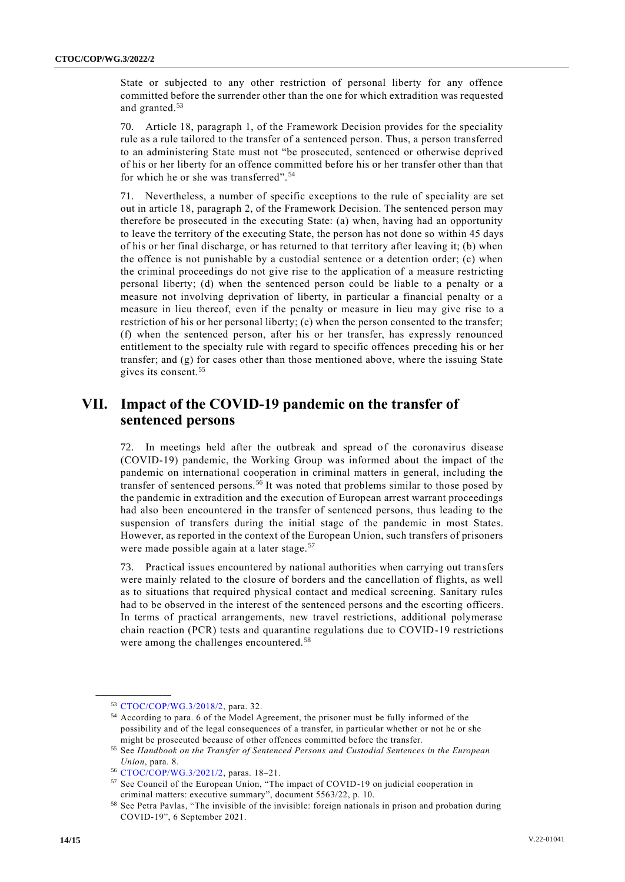State or subjected to any other restriction of personal liberty for any offence committed before the surrender other than the one for which extradition was requested and granted.<sup>53</sup>

70. Article 18, paragraph 1, of the Framework Decision provides for the speciality rule as a rule tailored to the transfer of a sentenced person. Thus, a person transferred to an administering State must not "be prosecuted, sentenced or otherwise deprived of his or her liberty for an offence committed before his or her transfer other than that for which he or she was transferred". <sup>54</sup>

71. Nevertheless, a number of specific exceptions to the rule of spec iality are set out in article 18, paragraph 2, of the Framework Decision. The sentenced person may therefore be prosecuted in the executing State: (a) when, having had an opportunity to leave the territory of the executing State, the person has not done so within 45 days of his or her final discharge, or has returned to that territory after leaving it; (b) when the offence is not punishable by a custodial sentence or a detention order; (c) when the criminal proceedings do not give rise to the application of a measure restricting personal liberty; (d) when the sentenced person could be liable to a penalty or a measure not involving deprivation of liberty, in particular a financial penalty or a measure in lieu thereof, even if the penalty or measure in lieu may give rise to a restriction of his or her personal liberty; (e) when the person consented to the transfer; (f) when the sentenced person, after his or her transfer, has expressly renounced entitlement to the specialty rule with regard to specific offences preceding his or her transfer; and  $(g)$  for cases other than those mentioned above, where the issuing State gives its consent.<sup>55</sup>

# **VII. Impact of the COVID-19 pandemic on the transfer of sentenced persons**

72. In meetings held after the outbreak and spread of the coronavirus disease (COVID-19) pandemic, the Working Group was informed about the impact of the pandemic on international cooperation in criminal matters in general, including the transfer of sentenced persons.<sup>56</sup> It was noted that problems similar to those posed by the pandemic in extradition and the execution of European arrest warrant proceedings had also been encountered in the transfer of sentenced persons, thus leading to the suspension of transfers during the initial stage of the pandemic in most States. However, as reported in the context of the European Union, such transfers of prisoners were made possible again at a later stage.<sup>57</sup>

73. Practical issues encountered by national authorities when carrying out tran sfers were mainly related to the closure of borders and the cancellation of flights, as well as to situations that required physical contact and medical screening. Sanitary rules had to be observed in the interest of the sentenced persons and the escorting officers. In terms of practical arrangements, new travel restrictions, additional polymerase chain reaction (PCR) tests and quarantine regulations due to COVID-19 restrictions were among the challenges encountered. <sup>58</sup>

<sup>53</sup> [CTOC/COP/WG.3/2018/2,](http://undocs.org/CTOC/COP/WG.3/2018/2) para. 32.

<sup>54</sup> According to para. 6 of the Model Agreement, the prisoner must be fully informed of the possibility and of the legal consequences of a transfer, in particular whether or not he or she might be prosecuted because of other offences committed before the transfer.

<sup>55</sup> See *Handbook on the Transfer of Sentenced Persons and Custodial Sentences in the European Union*, para. 8.

<sup>56</sup> [CTOC/COP/WG.3/2021/2,](http://undocs.org/CTOC/COP/WG.3/2021/2) paras. 18–21.

<sup>57</sup> See Council of the European Union, "The impact of COVID-19 on judicial cooperation in criminal matters: executive summary", document 5563/22, p. 10.

<sup>58</sup> See Petra Pavlas, "The invisible of the invisible: foreign nationals in prison and probation during COVID-19", 6 September 2021.